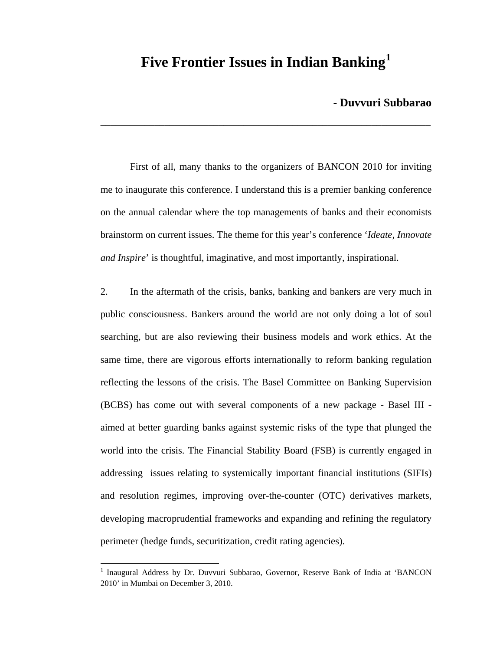# **Five Frontier Issues in Indian Banking[1](#page-0-0)**

\_\_\_\_\_\_\_\_\_\_\_\_\_\_\_\_\_\_\_\_\_\_\_\_\_\_\_\_\_\_\_\_\_\_\_\_\_\_\_\_\_\_\_\_\_\_\_\_\_\_\_\_\_\_\_\_\_\_\_\_\_\_\_\_\_\_\_

## **- Duvvuri Subbarao**

 First of all, many thanks to the organizers of BANCON 2010 for inviting me to inaugurate this conference. I understand this is a premier banking conference on the annual calendar where the top managements of banks and their economists brainstorm on current issues. The theme for this year's conference '*Ideate, Innovate and Inspire*' is thoughtful, imaginative, and most importantly, inspirational.

2. In the aftermath of the crisis, banks, banking and bankers are very much in public consciousness. Bankers around the world are not only doing a lot of soul searching, but are also reviewing their business models and work ethics. At the same time, there are vigorous efforts internationally to reform banking regulation reflecting the lessons of the crisis. The Basel Committee on Banking Supervision (BCBS) has come out with several components of a new package - Basel III aimed at better guarding banks against systemic risks of the type that plunged the world into the crisis. The Financial Stability Board (FSB) is currently engaged in addressing issues relating to systemically important financial institutions (SIFIs) and resolution regimes, improving over-the-counter (OTC) derivatives markets, developing macroprudential frameworks and expanding and refining the regulatory perimeter (hedge funds, securitization, credit rating agencies).

 $\overline{a}$ 

<span id="page-0-0"></span><sup>&</sup>lt;sup>1</sup> Inaugural Address by Dr. Duvvuri Subbarao, Governor, Reserve Bank of India at 'BANCON 2010' in Mumbai on December 3, 2010.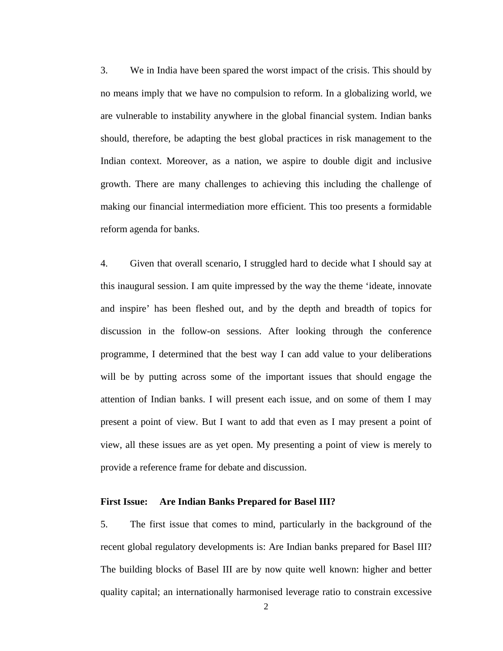3. We in India have been spared the worst impact of the crisis. This should by no means imply that we have no compulsion to reform. In a globalizing world, we are vulnerable to instability anywhere in the global financial system. Indian banks should, therefore, be adapting the best global practices in risk management to the Indian context. Moreover, as a nation, we aspire to double digit and inclusive growth. There are many challenges to achieving this including the challenge of making our financial intermediation more efficient. This too presents a formidable reform agenda for banks.

4. Given that overall scenario, I struggled hard to decide what I should say at this inaugural session. I am quite impressed by the way the theme 'ideate, innovate and inspire' has been fleshed out, and by the depth and breadth of topics for discussion in the follow-on sessions. After looking through the conference programme, I determined that the best way I can add value to your deliberations will be by putting across some of the important issues that should engage the attention of Indian banks. I will present each issue, and on some of them I may present a point of view. But I want to add that even as I may present a point of view, all these issues are as yet open. My presenting a point of view is merely to provide a reference frame for debate and discussion.

#### **First Issue: Are Indian Banks Prepared for Basel III?**

5. The first issue that comes to mind, particularly in the background of the recent global regulatory developments is: Are Indian banks prepared for Basel III? The building blocks of Basel III are by now quite well known: higher and better quality capital; an internationally harmonised leverage ratio to constrain excessive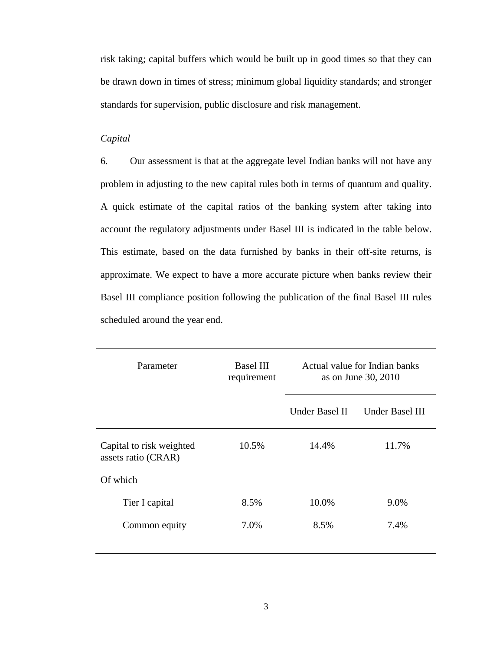risk taking; capital buffers which would be built up in good times so that they can be drawn down in times of stress; minimum global liquidity standards; and stronger standards for supervision, public disclosure and risk management.

## *Capital*

6. Our assessment is that at the aggregate level Indian banks will not have any problem in adjusting to the new capital rules both in terms of quantum and quality. A quick estimate of the capital ratios of the banking system after taking into account the regulatory adjustments under Basel III is indicated in the table below. This estimate, based on the data furnished by banks in their off-site returns, is approximate. We expect to have a more accurate picture when banks review their Basel III compliance position following the publication of the final Basel III rules scheduled around the year end.

| Parameter                                       | <b>Basel III</b><br>requirement | Actual value for Indian banks<br>as on June 30, 2010 |                        |
|-------------------------------------------------|---------------------------------|------------------------------------------------------|------------------------|
|                                                 |                                 | Under Basel II                                       | <b>Under Basel III</b> |
| Capital to risk weighted<br>assets ratio (CRAR) | 10.5%                           | 14.4%                                                | 11.7%                  |
| Of which                                        |                                 |                                                      |                        |
| Tier I capital                                  | 8.5%                            | 10.0%                                                | 9.0%                   |
| Common equity                                   | 7.0%                            | 8.5%                                                 | 7.4%                   |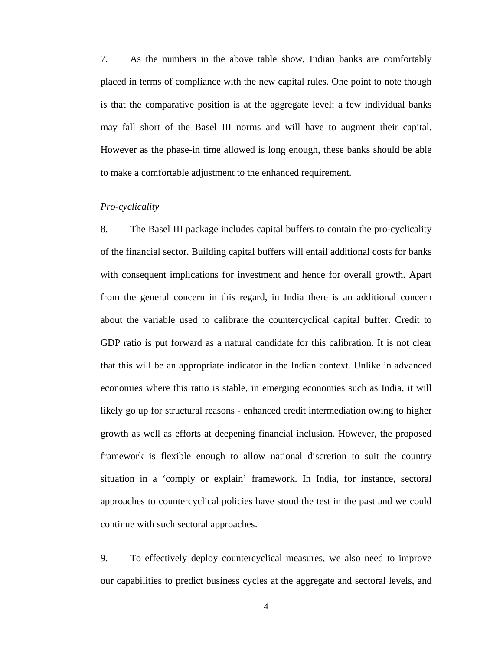7. As the numbers in the above table show, Indian banks are comfortably placed in terms of compliance with the new capital rules. One point to note though is that the comparative position is at the aggregate level; a few individual banks may fall short of the Basel III norms and will have to augment their capital. However as the phase-in time allowed is long enough, these banks should be able to make a comfortable adjustment to the enhanced requirement.

#### *Pro-cyclicality*

8. The Basel III package includes capital buffers to contain the pro-cyclicality of the financial sector. Building capital buffers will entail additional costs for banks with consequent implications for investment and hence for overall growth. Apart from the general concern in this regard, in India there is an additional concern about the variable used to calibrate the countercyclical capital buffer. Credit to GDP ratio is put forward as a natural candidate for this calibration. It is not clear that this will be an appropriate indicator in the Indian context. Unlike in advanced economies where this ratio is stable, in emerging economies such as India, it will likely go up for structural reasons - enhanced credit intermediation owing to higher growth as well as efforts at deepening financial inclusion. However, the proposed framework is flexible enough to allow national discretion to suit the country situation in a 'comply or explain' framework. In India, for instance, sectoral approaches to countercyclical policies have stood the test in the past and we could continue with such sectoral approaches.

9. To effectively deploy countercyclical measures, we also need to improve our capabilities to predict business cycles at the aggregate and sectoral levels, and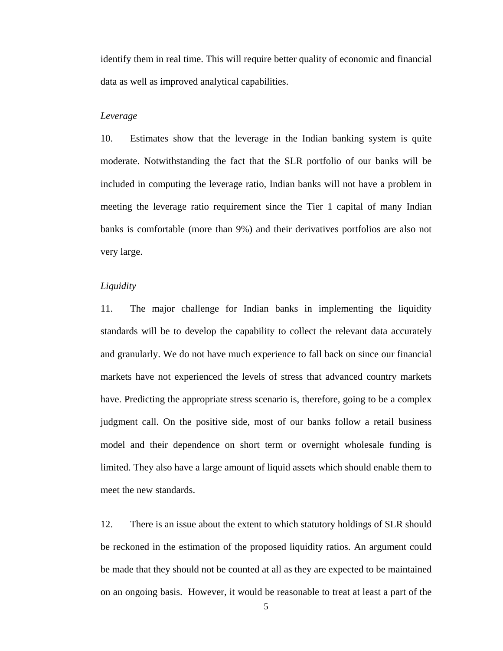identify them in real time. This will require better quality of economic and financial data as well as improved analytical capabilities.

## *Leverage*

10. Estimates show that the leverage in the Indian banking system is quite moderate. Notwithstanding the fact that the SLR portfolio of our banks will be included in computing the leverage ratio, Indian banks will not have a problem in meeting the leverage ratio requirement since the Tier 1 capital of many Indian banks is comfortable (more than 9%) and their derivatives portfolios are also not very large.

#### *Liquidity*

11. The major challenge for Indian banks in implementing the liquidity standards will be to develop the capability to collect the relevant data accurately and granularly. We do not have much experience to fall back on since our financial markets have not experienced the levels of stress that advanced country markets have. Predicting the appropriate stress scenario is, therefore, going to be a complex judgment call. On the positive side, most of our banks follow a retail business model and their dependence on short term or overnight wholesale funding is limited. They also have a large amount of liquid assets which should enable them to meet the new standards.

12. There is an issue about the extent to which statutory holdings of SLR should be reckoned in the estimation of the proposed liquidity ratios. An argument could be made that they should not be counted at all as they are expected to be maintained on an ongoing basis. However, it would be reasonable to treat at least a part of the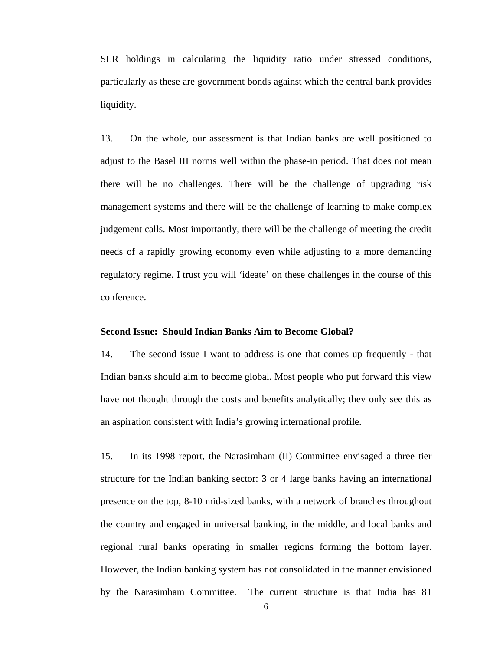SLR holdings in calculating the liquidity ratio under stressed conditions, particularly as these are government bonds against which the central bank provides liquidity.

13. On the whole, our assessment is that Indian banks are well positioned to adjust to the Basel III norms well within the phase-in period. That does not mean there will be no challenges. There will be the challenge of upgrading risk management systems and there will be the challenge of learning to make complex judgement calls. Most importantly, there will be the challenge of meeting the credit needs of a rapidly growing economy even while adjusting to a more demanding regulatory regime. I trust you will 'ideate' on these challenges in the course of this conference.

#### **Second Issue: Should Indian Banks Aim to Become Global?**

14. The second issue I want to address is one that comes up frequently - that Indian banks should aim to become global. Most people who put forward this view have not thought through the costs and benefits analytically; they only see this as an aspiration consistent with India's growing international profile.

15. In its 1998 report, the Narasimham (II) Committee envisaged a three tier structure for the Indian banking sector: 3 or 4 large banks having an international presence on the top, 8-10 mid-sized banks, with a network of branches throughout the country and engaged in universal banking, in the middle, and local banks and regional rural banks operating in smaller regions forming the bottom layer. However, the Indian banking system has not consolidated in the manner envisioned by the Narasimham Committee. The current structure is that India has 81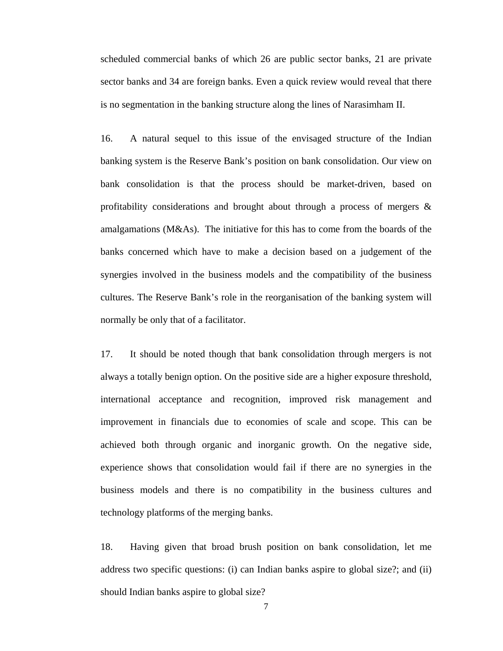scheduled commercial banks of which 26 are public sector banks, 21 are private sector banks and 34 are foreign banks. Even a quick review would reveal that there is no segmentation in the banking structure along the lines of Narasimham II.

16. A natural sequel to this issue of the envisaged structure of the Indian banking system is the Reserve Bank's position on bank consolidation. Our view on bank consolidation is that the process should be market-driven, based on profitability considerations and brought about through a process of mergers & amalgamations (M&As). The initiative for this has to come from the boards of the banks concerned which have to make a decision based on a judgement of the synergies involved in the business models and the compatibility of the business cultures. The Reserve Bank's role in the reorganisation of the banking system will normally be only that of a facilitator.

17. It should be noted though that bank consolidation through mergers is not always a totally benign option. On the positive side are a higher exposure threshold, international acceptance and recognition, improved risk management and improvement in financials due to economies of scale and scope. This can be achieved both through organic and inorganic growth. On the negative side, experience shows that consolidation would fail if there are no synergies in the business models and there is no compatibility in the business cultures and technology platforms of the merging banks.

18. Having given that broad brush position on bank consolidation, let me address two specific questions: (i) can Indian banks aspire to global size?; and (ii) should Indian banks aspire to global size?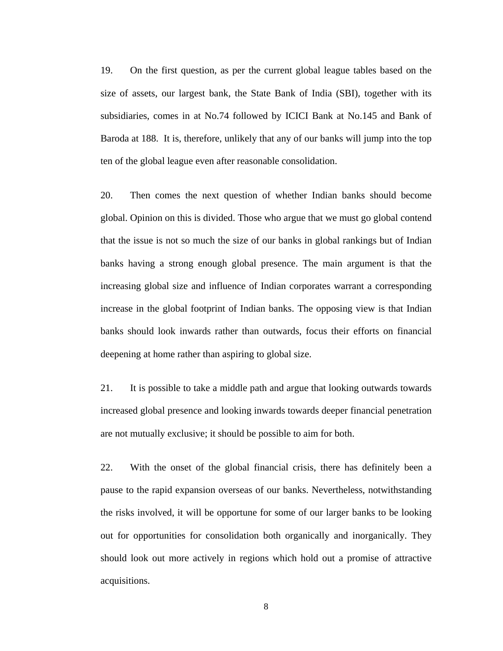19. On the first question, as per the current global league tables based on the size of assets, our largest bank, the State Bank of India (SBI), together with its subsidiaries, comes in at No.74 followed by ICICI Bank at No.145 and Bank of Baroda at 188. It is, therefore, unlikely that any of our banks will jump into the top ten of the global league even after reasonable consolidation.

20. Then comes the next question of whether Indian banks should become global. Opinion on this is divided. Those who argue that we must go global contend that the issue is not so much the size of our banks in global rankings but of Indian banks having a strong enough global presence. The main argument is that the increasing global size and influence of Indian corporates warrant a corresponding increase in the global footprint of Indian banks. The opposing view is that Indian banks should look inwards rather than outwards, focus their efforts on financial deepening at home rather than aspiring to global size.

21. It is possible to take a middle path and argue that looking outwards towards increased global presence and looking inwards towards deeper financial penetration are not mutually exclusive; it should be possible to aim for both.

22. With the onset of the global financial crisis, there has definitely been a pause to the rapid expansion overseas of our banks. Nevertheless, notwithstanding the risks involved, it will be opportune for some of our larger banks to be looking out for opportunities for consolidation both organically and inorganically. They should look out more actively in regions which hold out a promise of attractive acquisitions.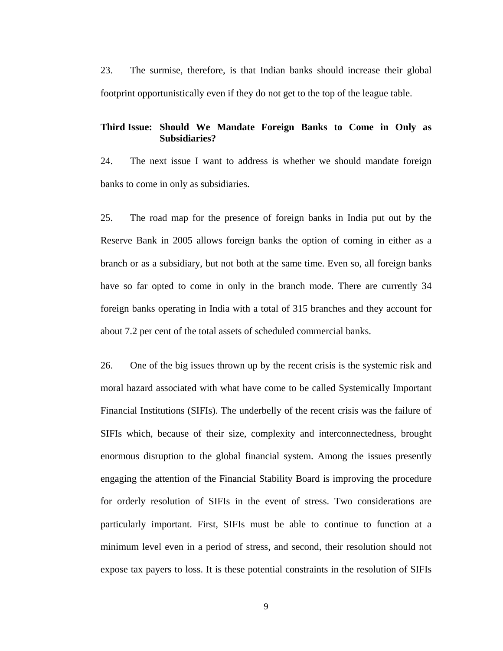23. The surmise, therefore, is that Indian banks should increase their global footprint opportunistically even if they do not get to the top of the league table.

## **Third Issue: Should We Mandate Foreign Banks to Come in Only as Subsidiaries?**

24. The next issue I want to address is whether we should mandate foreign banks to come in only as subsidiaries.

25. The road map for the presence of foreign banks in India put out by the Reserve Bank in 2005 allows foreign banks the option of coming in either as a branch or as a subsidiary, but not both at the same time. Even so, all foreign banks have so far opted to come in only in the branch mode. There are currently 34 foreign banks operating in India with a total of 315 branches and they account for about 7.2 per cent of the total assets of scheduled commercial banks.

26. One of the big issues thrown up by the recent crisis is the systemic risk and moral hazard associated with what have come to be called Systemically Important Financial Institutions (SIFIs). The underbelly of the recent crisis was the failure of SIFIs which, because of their size, complexity and interconnectedness, brought enormous disruption to the global financial system. Among the issues presently engaging the attention of the Financial Stability Board is improving the procedure for orderly resolution of SIFIs in the event of stress. Two considerations are particularly important. First, SIFIs must be able to continue to function at a minimum level even in a period of stress, and second, their resolution should not expose tax payers to loss. It is these potential constraints in the resolution of SIFIs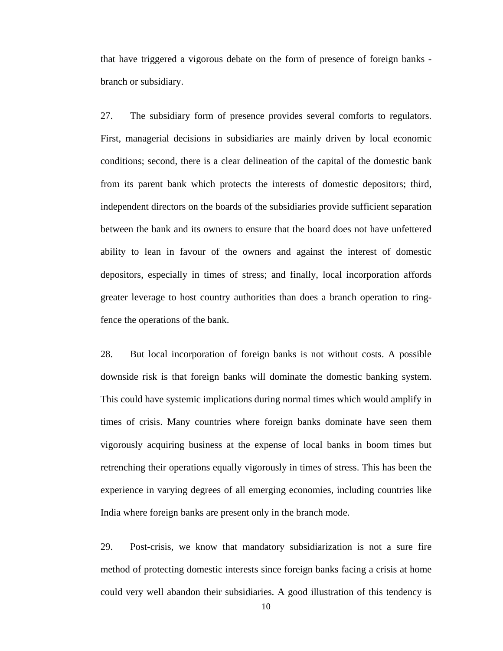that have triggered a vigorous debate on the form of presence of foreign banks branch or subsidiary.

27. The subsidiary form of presence provides several comforts to regulators. First, managerial decisions in subsidiaries are mainly driven by local economic conditions; second, there is a clear delineation of the capital of the domestic bank from its parent bank which protects the interests of domestic depositors; third, independent directors on the boards of the subsidiaries provide sufficient separation between the bank and its owners to ensure that the board does not have unfettered ability to lean in favour of the owners and against the interest of domestic depositors, especially in times of stress; and finally, local incorporation affords greater leverage to host country authorities than does a branch operation to ringfence the operations of the bank.

28. But local incorporation of foreign banks is not without costs. A possible downside risk is that foreign banks will dominate the domestic banking system. This could have systemic implications during normal times which would amplify in times of crisis. Many countries where foreign banks dominate have seen them vigorously acquiring business at the expense of local banks in boom times but retrenching their operations equally vigorously in times of stress. This has been the experience in varying degrees of all emerging economies, including countries like India where foreign banks are present only in the branch mode.

29. Post-crisis, we know that mandatory subsidiarization is not a sure fire method of protecting domestic interests since foreign banks facing a crisis at home could very well abandon their subsidiaries. A good illustration of this tendency is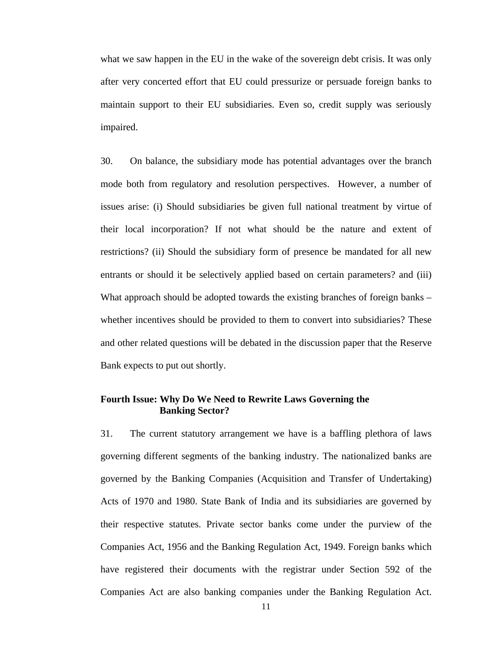what we saw happen in the EU in the wake of the sovereign debt crisis. It was only after very concerted effort that EU could pressurize or persuade foreign banks to maintain support to their EU subsidiaries. Even so, credit supply was seriously impaired.

30. On balance, the subsidiary mode has potential advantages over the branch mode both from regulatory and resolution perspectives. However, a number of issues arise: (i) Should subsidiaries be given full national treatment by virtue of their local incorporation? If not what should be the nature and extent of restrictions? (ii) Should the subsidiary form of presence be mandated for all new entrants or should it be selectively applied based on certain parameters? and (iii) What approach should be adopted towards the existing branches of foreign banks – whether incentives should be provided to them to convert into subsidiaries? These and other related questions will be debated in the discussion paper that the Reserve Bank expects to put out shortly.

# **Fourth Issue: Why Do We Need to Rewrite Laws Governing the Banking Sector?**

31. The current statutory arrangement we have is a baffling plethora of laws governing different segments of the banking industry. The nationalized banks are governed by the Banking Companies (Acquisition and Transfer of Undertaking) Acts of 1970 and 1980. State Bank of India and its subsidiaries are governed by their respective statutes. Private sector banks come under the purview of the Companies Act, 1956 and the Banking Regulation Act, 1949. Foreign banks which have registered their documents with the registrar under Section 592 of the Companies Act are also banking companies under the Banking Regulation Act.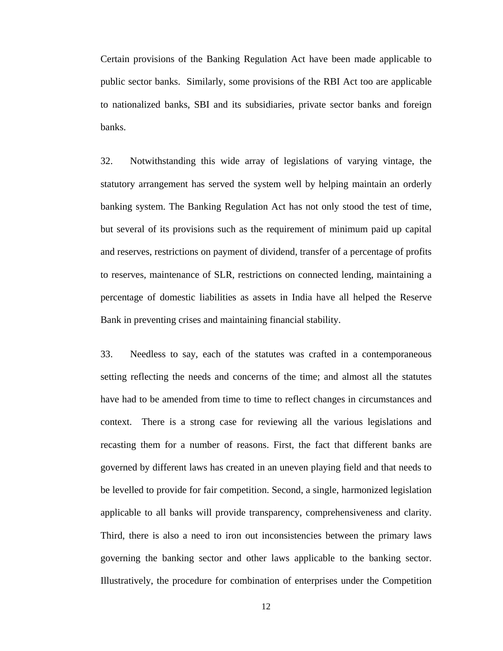Certain provisions of the Banking Regulation Act have been made applicable to public sector banks. Similarly, some provisions of the RBI Act too are applicable to nationalized banks, SBI and its subsidiaries, private sector banks and foreign banks.

32. Notwithstanding this wide array of legislations of varying vintage, the statutory arrangement has served the system well by helping maintain an orderly banking system. The Banking Regulation Act has not only stood the test of time, but several of its provisions such as the requirement of minimum paid up capital and reserves, restrictions on payment of dividend, transfer of a percentage of profits to reserves, maintenance of SLR, restrictions on connected lending, maintaining a percentage of domestic liabilities as assets in India have all helped the Reserve Bank in preventing crises and maintaining financial stability.

33. Needless to say, each of the statutes was crafted in a contemporaneous setting reflecting the needs and concerns of the time; and almost all the statutes have had to be amended from time to time to reflect changes in circumstances and context. There is a strong case for reviewing all the various legislations and recasting them for a number of reasons. First, the fact that different banks are governed by different laws has created in an uneven playing field and that needs to be levelled to provide for fair competition. Second, a single, harmonized legislation applicable to all banks will provide transparency, comprehensiveness and clarity. Third, there is also a need to iron out inconsistencies between the primary laws governing the banking sector and other laws applicable to the banking sector. Illustratively, the procedure for combination of enterprises under the Competition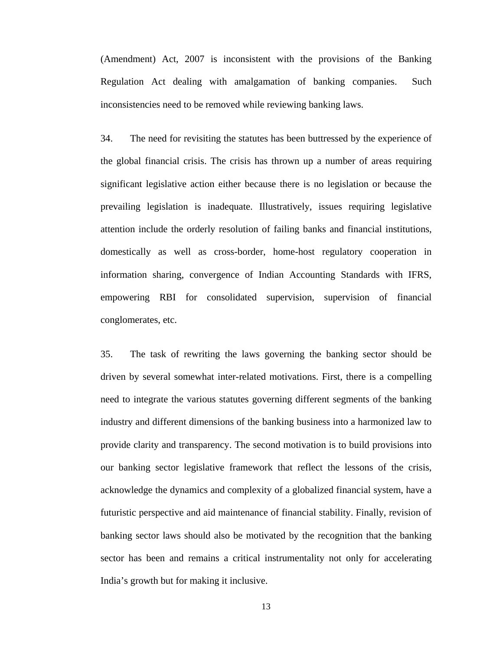(Amendment) Act, 2007 is inconsistent with the provisions of the Banking Regulation Act dealing with amalgamation of banking companies. Such inconsistencies need to be removed while reviewing banking laws.

34. The need for revisiting the statutes has been buttressed by the experience of the global financial crisis. The crisis has thrown up a number of areas requiring significant legislative action either because there is no legislation or because the prevailing legislation is inadequate. Illustratively, issues requiring legislative attention include the orderly resolution of failing banks and financial institutions, domestically as well as cross-border, home-host regulatory cooperation in information sharing, convergence of Indian Accounting Standards with IFRS, empowering RBI for consolidated supervision, supervision of financial conglomerates, etc.

35. The task of rewriting the laws governing the banking sector should be driven by several somewhat inter-related motivations. First, there is a compelling need to integrate the various statutes governing different segments of the banking industry and different dimensions of the banking business into a harmonized law to provide clarity and transparency. The second motivation is to build provisions into our banking sector legislative framework that reflect the lessons of the crisis, acknowledge the dynamics and complexity of a globalized financial system, have a futuristic perspective and aid maintenance of financial stability. Finally, revision of banking sector laws should also be motivated by the recognition that the banking sector has been and remains a critical instrumentality not only for accelerating India's growth but for making it inclusive.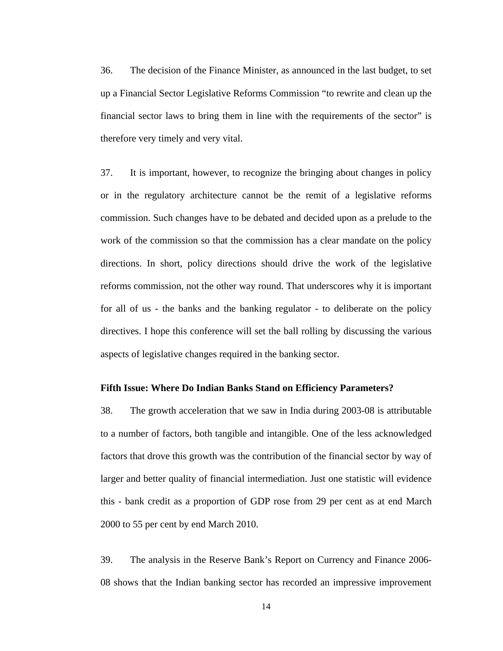36. The decision of the Finance Minister, as announced in the last budget, to set up a Financial Sector Legislative Reforms Commission "to rewrite and clean up the financial sector laws to bring them in line with the requirements of the sector" is therefore very timely and very vital.

37. It is important, however, to recognize the bringing about changes in policy or in the regulatory architecture cannot be the remit of a legislative reforms commission. Such changes have to be debated and decided upon as a prelude to the work of the commission so that the commission has a clear mandate on the policy directions. In short, policy directions should drive the work of the legislative reforms commission, not the other way round. That underscores why it is important for all of us - the banks and the banking regulator - to deliberate on the policy directives. I hope this conference will set the ball rolling by discussing the various aspects of legislative changes required in the banking sector.

#### **Fifth Issue: Where Do Indian Banks Stand on Efficiency Parameters?**

38. The growth acceleration that we saw in India during 2003-08 is attributable to a number of factors, both tangible and intangible. One of the less acknowledged factors that drove this growth was the contribution of the financial sector by way of larger and better quality of financial intermediation. Just one statistic will evidence this - bank credit as a proportion of GDP rose from 29 per cent as at end March 2000 to 55 per cent by end March 2010.

39. The analysis in the Reserve Bank's Report on Currency and Finance 2006- 08 shows that the Indian banking sector has recorded an impressive improvement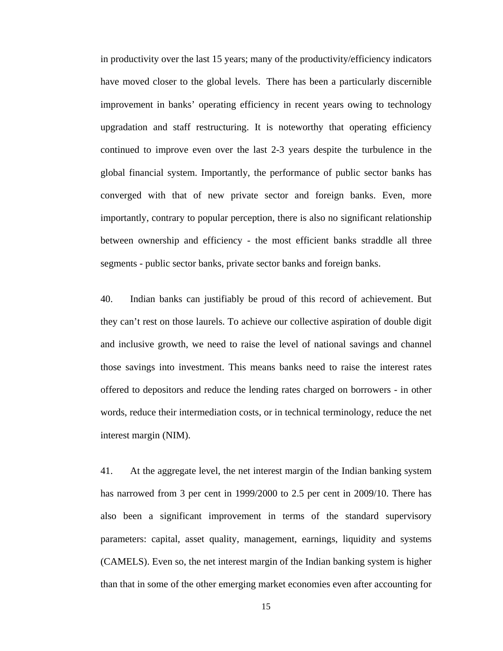in productivity over the last 15 years; many of the productivity/efficiency indicators have moved closer to the global levels. There has been a particularly discernible improvement in banks' operating efficiency in recent years owing to technology upgradation and staff restructuring. It is noteworthy that operating efficiency continued to improve even over the last 2-3 years despite the turbulence in the global financial system. Importantly, the performance of public sector banks has converged with that of new private sector and foreign banks. Even, more importantly, contrary to popular perception, there is also no significant relationship between ownership and efficiency - the most efficient banks straddle all three segments - public sector banks, private sector banks and foreign banks.

40. Indian banks can justifiably be proud of this record of achievement. But they can't rest on those laurels. To achieve our collective aspiration of double digit and inclusive growth, we need to raise the level of national savings and channel those savings into investment. This means banks need to raise the interest rates offered to depositors and reduce the lending rates charged on borrowers - in other words, reduce their intermediation costs, or in technical terminology, reduce the net interest margin (NIM).

41. At the aggregate level, the net interest margin of the Indian banking system has narrowed from 3 per cent in 1999/2000 to 2.5 per cent in 2009/10. There has also been a significant improvement in terms of the standard supervisory parameters: capital, asset quality, management, earnings, liquidity and systems (CAMELS). Even so, the net interest margin of the Indian banking system is higher than that in some of the other emerging market economies even after accounting for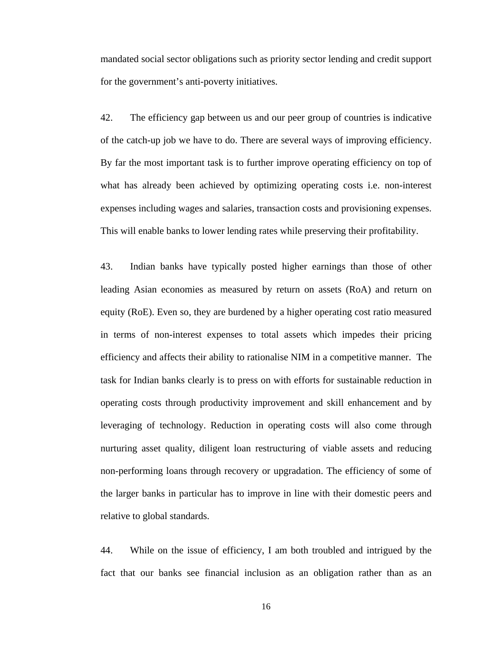mandated social sector obligations such as priority sector lending and credit support for the government's anti-poverty initiatives.

42. The efficiency gap between us and our peer group of countries is indicative of the catch-up job we have to do. There are several ways of improving efficiency. By far the most important task is to further improve operating efficiency on top of what has already been achieved by optimizing operating costs i.e. non-interest expenses including wages and salaries, transaction costs and provisioning expenses. This will enable banks to lower lending rates while preserving their profitability.

43. Indian banks have typically posted higher earnings than those of other leading Asian economies as measured by return on assets (RoA) and return on equity (RoE). Even so, they are burdened by a higher operating cost ratio measured in terms of non-interest expenses to total assets which impedes their pricing efficiency and affects their ability to rationalise NIM in a competitive manner. The task for Indian banks clearly is to press on with efforts for sustainable reduction in operating costs through productivity improvement and skill enhancement and by leveraging of technology. Reduction in operating costs will also come through nurturing asset quality, diligent loan restructuring of viable assets and reducing non-performing loans through recovery or upgradation. The efficiency of some of the larger banks in particular has to improve in line with their domestic peers and relative to global standards.

44. While on the issue of efficiency, I am both troubled and intrigued by the fact that our banks see financial inclusion as an obligation rather than as an

16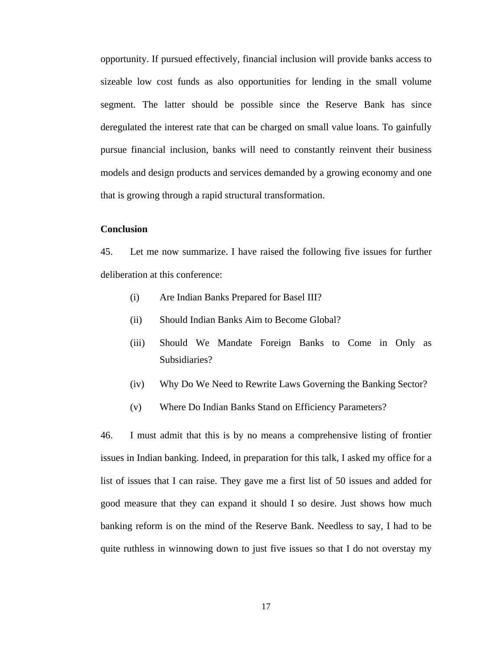opportunity. If pursued effectively, financial inclusion will provide banks access to sizeable low cost funds as also opportunities for lending in the small volume segment. The latter should be possible since the Reserve Bank has since deregulated the interest rate that can be charged on small value loans. To gainfully pursue financial inclusion, banks will need to constantly reinvent their business models and design products and services demanded by a growing economy and one that is growing through a rapid structural transformation.

#### **Conclusion**

45. Let me now summarize. I have raised the following five issues for further deliberation at this conference:

- (i) Are Indian Banks Prepared for Basel III?
- (ii) Should Indian Banks Aim to Become Global?
- (iii) Should We Mandate Foreign Banks to Come in Only as Subsidiaries?
- (iv) Why Do We Need to Rewrite Laws Governing the Banking Sector?
- (v) Where Do Indian Banks Stand on Efficiency Parameters?

46. I must admit that this is by no means a comprehensive listing of frontier issues in Indian banking. Indeed, in preparation for this talk, I asked my office for a list of issues that I can raise. They gave me a first list of 50 issues and added for good measure that they can expand it should I so desire. Just shows how much banking reform is on the mind of the Reserve Bank. Needless to say, I had to be quite ruthless in winnowing down to just five issues so that I do not overstay my